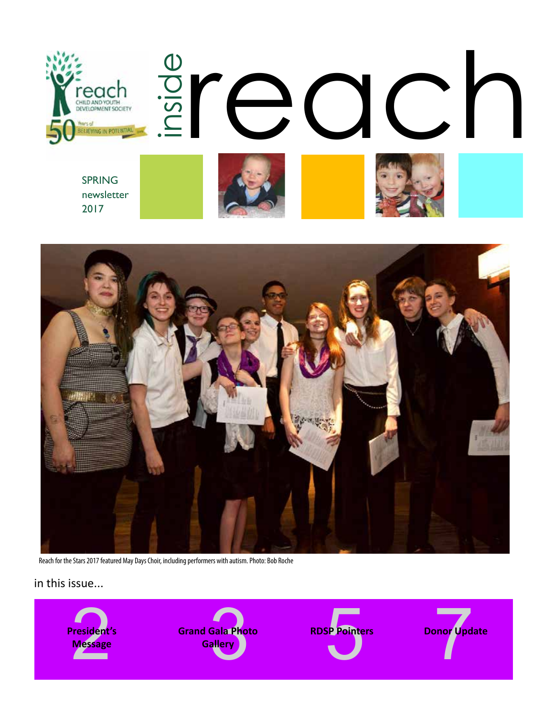



Reach for the Stars 2017 featured May Days Choir, including performers with autism. Photo: Bob Roche

in this issue...

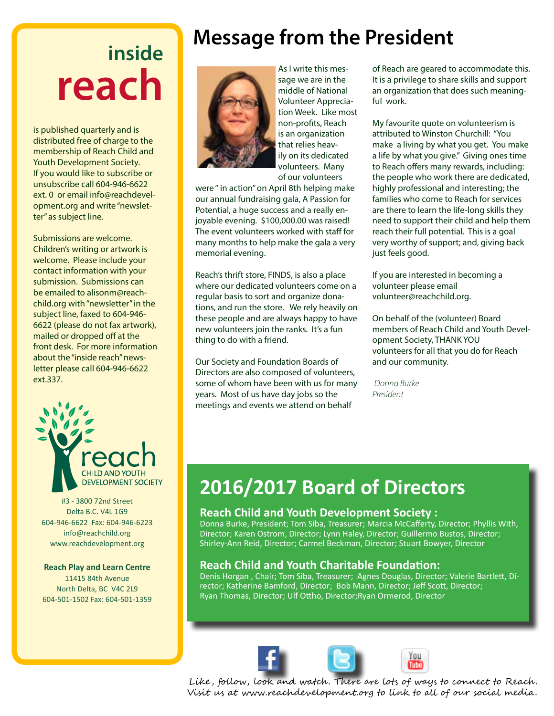# **inside reach**

is published quarterly and is distributed free of charge to the membership of Reach Child and Youth Development Society. If you would like to subscribe or unsubscribe call 604-946-6622 ext. 0 or email info@reachdevelopment.org and write "newsletter" as subject line.

Submissions are welcome. Children's writing or artwork is welcome. Please include your contact information with your submission. Submissions can be emailed to alisonm@reachchild.org with "newsletter" in the subject line, faxed to 604-946- 6622 (please do not fax artwork), mailed or dropped off at the front desk. For more information about the "inside reach" newsletter please call 604-946-6622 ext.337.



#3 - 3800 72nd Street Delta B.C. V4L 1G9 604-946-6622 Fax: 604-946-6223 info@reachchild.org www.reachdevelopment.org

### **Reach Play and Learn Centre**

11415 84th Avenue North Delta, BC V4C 2L9 604-501-1502 Fax: 604-501-1359

## **Message from the President**



As I write this message we are in the middle of National Volunteer Appreciation Week. Like most non-profits, Reach is an organization that relies heavily on its dedicated volunteers. Many of our volunteers

were " in action" on April 8th helping make our annual fundraising gala, A Passion for Potential, a huge success and a really enjoyable evening. \$100,000.00 was raised! The event volunteers worked with staff for many months to help make the gala a very memorial evening.

Reach's thrift store, FINDS, is also a place where our dedicated volunteers come on a regular basis to sort and organize donations, and run the store. We rely heavily on these people and are always happy to have new volunteers join the ranks. It's a fun thing to do with a friend.

Our Society and Foundation Boards of Directors are also composed of volunteers, some of whom have been with us for many years. Most of us have day jobs so the meetings and events we attend on behalf

of Reach are geared to accommodate this. It is a privilege to share skills and support an organization that does such meaningful work.

My favourite quote on volunteerism is attributed to Winston Churchill: "You make a living by what you get. You make a life by what you give." Giving ones time to Reach offers many rewards, including: the people who work there are dedicated, highly professional and interesting; the families who come to Reach for services are there to learn the life-long skills they need to support their child and help them reach their full potential. This is a goal very worthy of support; and, giving back just feels good.

If you are interested in becoming a volunteer please email volunteer@reachchild.org.

On behalf of the (volunteer) Board members of Reach Child and Youth Development Society, THANK YOU volunteers for all that you do for Reach and our community.

*Donna Burke President*

### **2016/2017 Board of Directors**

### **Reach Child and Youth Development Society :**

Donna Burke, President; Tom Siba, Treasurer; Marcia McCafferty, Director; Phyllis With, Director; Karen Ostrom, Director; Lynn Haley, Director; Guillermo Bustos, Director; Shirley-Ann Reid, Director; Carmel Beckman, Director; Stuart Bowyer, Director

### **Reach Child and Youth Charitable Foundation:**

Denis Horgan , Chair; Tom Siba, Treasurer; Agnes Douglas, Director; Valerie Bartlett, Director; Katherine Bamford, Director; Bob Mann, Director; Jeff Scott, Director; Ryan Thomas, Director; Ulf Ottho, Director;Ryan Ormerod, Director





Like, follow, look and watch. There are lots of ways to connect to Reach. Visit us at www.reachdevelopment.org to link to all of our social media.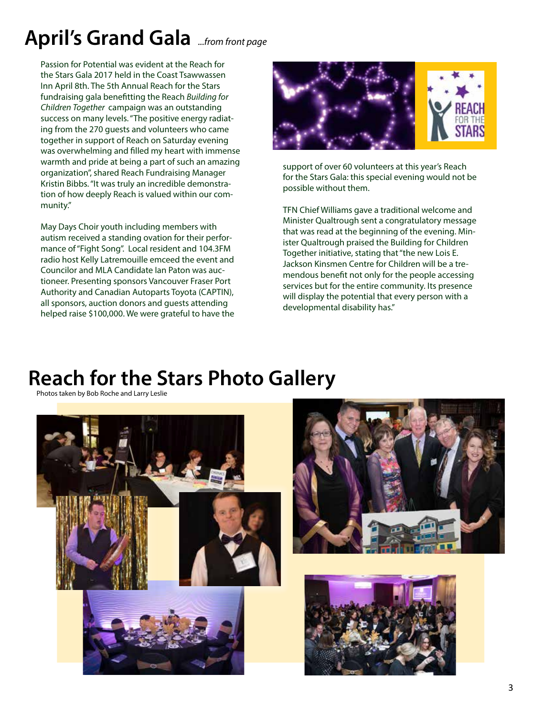## **April's Grand Gala** *...from front page*

Passion for Potential was evident at the Reach for the Stars Gala 2017 held in the Coast Tsawwassen Inn April 8th. The 5th Annual Reach for the Stars fundraising gala benefitting the Reach *Building for Children Together* campaign was an outstanding success on many levels. "The positive energy radiating from the 270 guests and volunteers who came together in support of Reach on Saturday evening was overwhelming and filled my heart with immense warmth and pride at being a part of such an amazing organization", shared Reach Fundraising Manager Kristin Bibbs. "It was truly an incredible demonstration of how deeply Reach is valued within our community."

May Days Choir youth including members with autism received a standing ovation for their performance of "Fight Song". Local resident and 104.3FM radio host Kelly Latremouille emceed the event and Councilor and MLA Candidate Ian Paton was auctioneer. Presenting sponsors Vancouver Fraser Port Authority and Canadian Autoparts Toyota (CAPTIN), all sponsors, auction donors and guests attending helped raise \$100,000. We were grateful to have the



support of over 60 volunteers at this year's Reach for the Stars Gala: this special evening would not be possible without them.

TFN Chief Williams gave a traditional welcome and Minister Qualtrough sent a congratulatory message that was read at the beginning of the evening. Minister Qualtrough praised the Building for Children Together initiative, stating that "the new Lois E. Jackson Kinsmen Centre for Children will be a tremendous benefit not only for the people accessing services but for the entire community. Its presence will display the potential that every person with a developmental disability has."

### **Reach for the Stars Photo Gallery**

Photos taken by Bob Roche and Larry Leslie

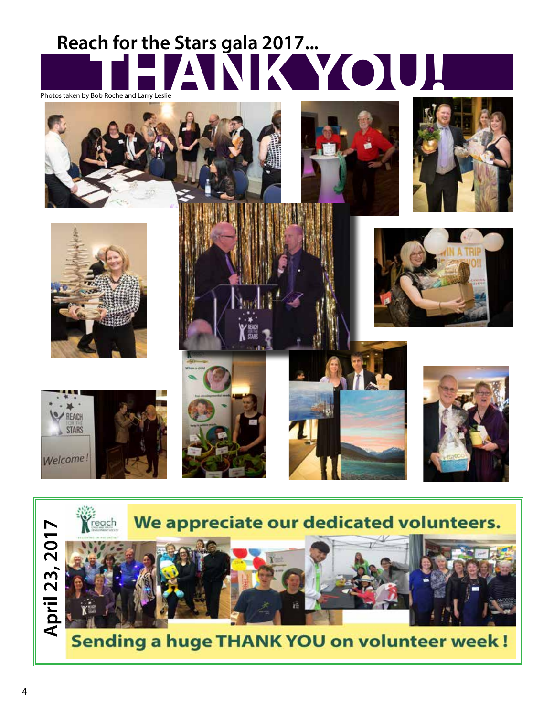# **Reach for the Stars gala 2017...** Photos taken by Bob Roche and Larry Leslie



















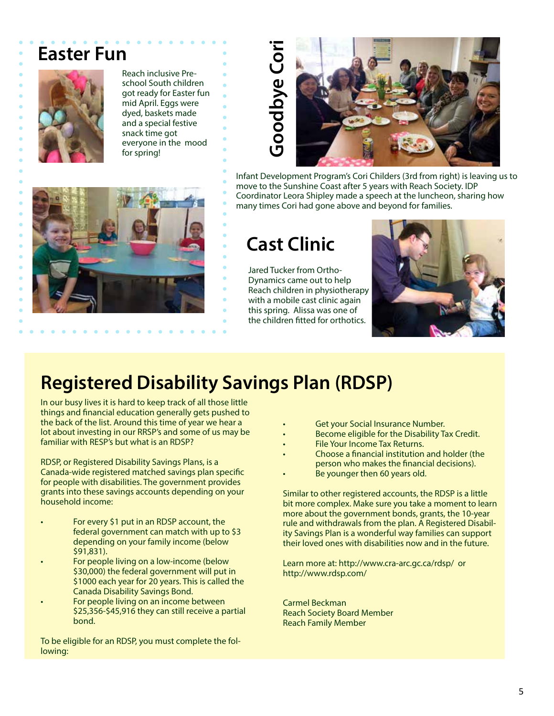### **Easter Fun**



Reach inclusive Preschool South children got ready for Easter fun mid April. Eggs were dyed, baskets made and a special festive snack time got everyone in the mood for spring!



Infant Development Program's Cori Childers (3rd from right) is leaving us to move to the Sunshine Coast after 5 years with Reach Society. IDP Coordinator Leora Shipley made a speech at the luncheon, sharing how many times Cori had gone above and beyond for families.

Jared Tucker from Ortho-Dynamics came out to help Reach children in physiotherapy with a mobile cast clinic again this spring. Alissa was one of the children fitted for orthotics.



### **Registered Disability Savings Plan (RDSP)**

In our busy lives it is hard to keep track of all those little things and financial education generally gets pushed to the back of the list. Around this time of year we hear a lot about investing in our RRSP's and some of us may be familiar with RESP's but what is an RDSP?

RDSP, or Registered Disability Savings Plans, is a Canada-wide registered matched savings plan specific for people with disabilities. The government provides grants into these savings accounts depending on your household income:

- For every \$1 put in an RDSP account, the federal government can match with up to \$3 depending on your family income (below \$91,831).
- For people living on a low-income (below \$30,000) the federal government will put in \$1000 each year for 20 years. This is called the Canada Disability Savings Bond.
- For people living on an income between \$25,356-\$45,916 they can still receive a partial bond.

To be eligible for an RDSP, you must complete the following:

- Get your Social Insurance Number.
- Become eligible for the Disability Tax Credit.
- File Your Income Tax Returns.
- Choose a financial institution and holder (the person who makes the financial decisions).
- Be younger then 60 years old.

Similar to other registered accounts, the RDSP is a little bit more complex. Make sure you take a moment to learn more about the government bonds, grants, the 10-year rule and withdrawals from the plan. A Registered Disability Savings Plan is a wonderful way families can support their loved ones with disabilities now and in the future.

Learn more at: http://www.cra-arc.gc.ca/rdsp/ or http://www.rdsp.com/

Carmel Beckman Reach Society Board Member Reach Family Member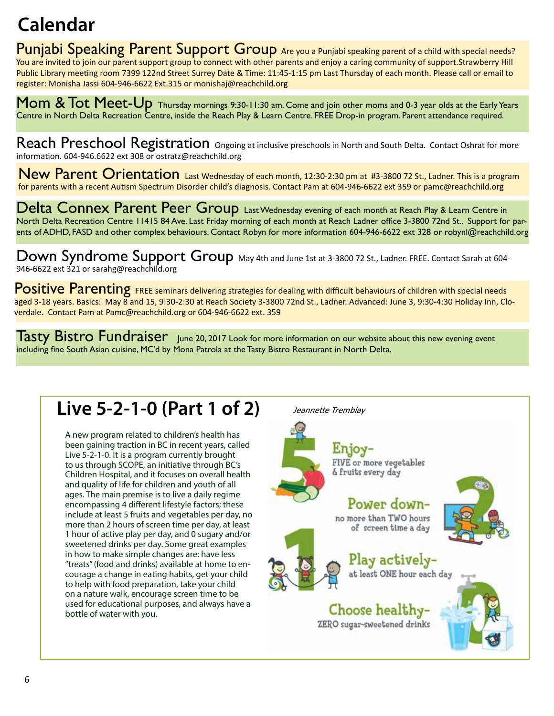## **Calendar**

Punjabi Speaking Parent Support Group Are you a Punjabi speaking parent of a child with special needs? You are invited to join our parent support group to connect with other parents and enjoy a caring community of support.Strawberry Hill Public Library meeting room 7399 122nd Street Surrey Date & Time: 11:45-1:15 pm Last Thursday of each month. Please call or email to register: Monisha Jassi 604-946-6622 Ext.315 or monishaj@reachchild.org

Mom & Tot Meet-Up Thursday mornings 9:30-11:30 am. Come and join other moms and 0-3 year olds at the Early Years Centre in North Delta Recreation Centre, inside the Reach Play & Learn Centre. FREE Drop-in program. Parent attendance required.

Reach Preschool Registration Ongoing at inclusive preschools in North and South Delta. Contact Oshrat for more information. 604-946.6622 ext 308 or ostratz@reachchild.org

New Parent Orientation Last Wednesday of each month, 12:30-2:30 pm at #3-3800 72 St., Ladner. This is a program for parents with a recent Autism Spectrum Disorder child's diagnosis. Contact Pam at 604-946-6622 ext 359 or pamc@reachchild.org

Delta Connex Parent Peer Group Last Wednesday evening of each month at Reach Play & Learn Centre in North Delta Recreation Centre 11415 84 Ave. Last Friday morning of each month at Reach Ladner office 3-3800 72nd St.. Support for parents of ADHD, FASD and other complex behaviours. Contact Robyn for more information 604-946-6622 ext 328 or robynl@reachchild.org

Down Syndrome Support Group May 4th and June 1st at 3-3800 72 St., Ladner. FREE. Contact Sarah at 604-946-6622 ext 321 or sarahg@reachchild.org

Positive Parenting FREE seminars delivering strategies for dealing with difficult behaviours of children with special needs aged 3-18 years. Basics: May 8 and 15, 9:30-2:30 at Reach Society 3-3800 72nd St., Ladner. Advanced: June 3, 9:30-4:30 Holiday Inn, Cloverdale. Contact Pam at Pamc@reachchild.org or 604-946-6622 ext. 359

Tasty Bistro Fundraiser June 20, 2017 Look for more information on our website about this new evening event including fine South Asian cuisine, MC'd by Mona Patrola at the Tasty Bistro Restaurant in North Delta.

### **Live 5-2-1-0 (Part 1 of 2)** Jeannette Tremblay

A new program related to children's health has been gaining traction in BC in recent years, called Live 5-2-1-0. It is a program currently brought to us through SCOPE, an initiative through BC's Children Hospital, and it focuses on overall health and quality of life for children and youth of all ages. The main premise is to live a daily regime encompassing 4 different lifestyle factors; these include at least 5 fruits and vegetables per day, no more than 2 hours of screen time per day, at least 1 hour of active play per day, and 0 sugary and/or sweetened drinks per day. Some great examples in how to make simple changes are: have less "treats" (food and drinks) available at home to encourage a change in eating habits, get your child to help with food preparation, take your child on a nature walk, encourage screen time to be used for educational purposes, and always have a bottle of water with you.

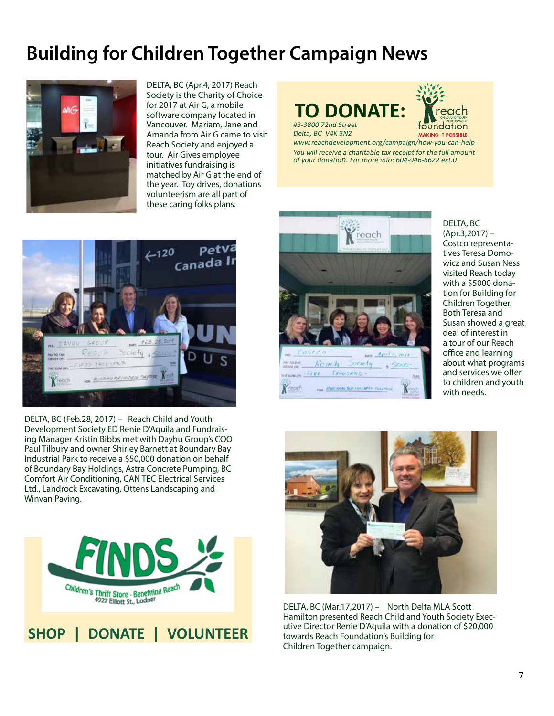### **Building for Children Together Campaign News**



DELTA, BC (Apr.4, 2017) Reach Society is the Charity of Choice for 2017 at Air G, a mobile software company located in Vancouver. Mariam, Jane and Amanda from Air G came to visit Reach Society and enjoyed a tour. Air Gives employee initiatives fundraising is matched by Air G at the end of the year. Toy drives, donations volunteerism are all part of these caring folks plans.

### #3-3800 72nd Street **TO DONATE:**

Delta, BC V4K 3N2



www.reachdevelopment.org/campaign/how-you-can-help You will receive a charitable tax receipt for the full amount of your donation. For more info: 604-946-6622 ext.0



DELTA, BC (Feb.28, 2017) – Reach Child and Youth Development Society ED Renie D'Aquila and Fundraising Manager Kristin Bibbs met with Dayhu Group's COO Paul Tilbury and owner Shirley Barnett at Boundary Bay Industrial Park to receive a \$50,000 donation on behalf of Boundary Bay Holdings, Astra Concrete Pumping, BC Comfort Air Conditioning, CAN TEC Electrical Services Ltd., Landrock Excavating, Ottens Landscaping and Winvan Paving.



reach ocinty Ket ac h  $-$ Frve INOUSAND FOR BOAT JUNE TOP CHECKER TORETHE K DELTA, BC (Apr.3,2017) – Costco representatives Teresa Domowicz and Susan Ness visited Reach today with a \$5000 donation for Building for Children Together. Both Teresa and Susan showed a great deal of interest in a tour of our Reach office and learning about what programs and services we offer to children and youth with needs.



DELTA, BC (Mar.17,2017) – North Delta MLA Scott Hamilton presented Reach Child and Youth Society Executive Director Renie D'Aquila with a donation of \$20,000 towards Reach Foundation's Building for Children Together campaign.